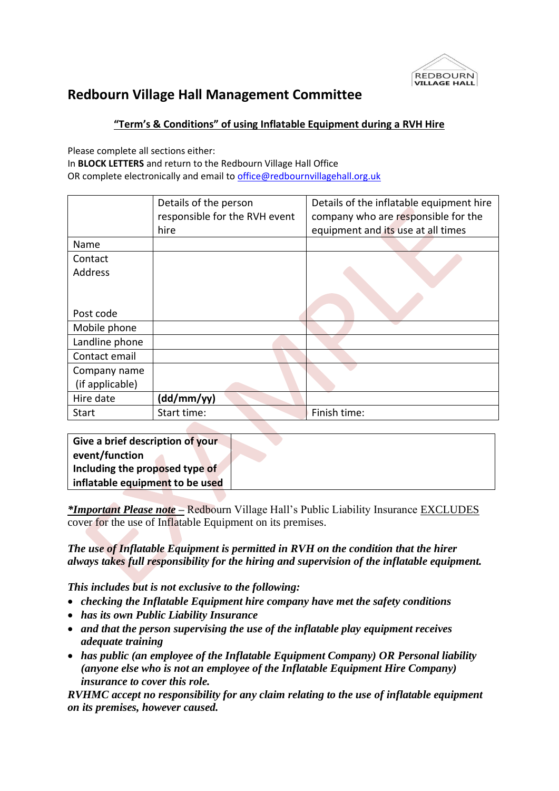

## **Redbourn Village Hall Management Committee**

## **"Term's & Conditions" of using Inflatable Equipment during a RVH Hire**

Please complete all sections either:

In **BLOCK LETTERS** and return to the Redbourn Village Hall Office OR complete electronically and email to [office@redbournvillagehall.org.uk](mailto:office@redbournvillagehall.org.uk) 

|                 | Details of the person         | Details of the inflatable equipment hire |  |
|-----------------|-------------------------------|------------------------------------------|--|
|                 | responsible for the RVH event | company who are responsible for the      |  |
|                 | hire                          | equipment and its use at all times       |  |
| Name            |                               |                                          |  |
| Contact         |                               |                                          |  |
| <b>Address</b>  |                               |                                          |  |
|                 |                               |                                          |  |
|                 |                               |                                          |  |
| Post code       |                               |                                          |  |
| Mobile phone    |                               |                                          |  |
| Landline phone  |                               |                                          |  |
| Contact email   |                               |                                          |  |
| Company name    |                               |                                          |  |
| (if applicable) |                               |                                          |  |
| Hire date       | (dd/mm/yy)                    |                                          |  |
| <b>Start</b>    | Start time:                   | Finish time:                             |  |

| Give a brief description of your |  |
|----------------------------------|--|
| event/function                   |  |
| Including the proposed type of   |  |
| inflatable equipment to be used  |  |

*\*Important Please note –* Redbourn Village Hall's Public Liability Insurance EXCLUDES cover for the use of Inflatable Equipment on its premises.

*The use of Inflatable Equipment is permitted in RVH on the condition that the hirer always takes full responsibility for the hiring and supervision of the inflatable equipment.* 

*This includes but is not exclusive to the following:* 

- *checking the Inflatable Equipment hire company have met the safety conditions*
- *has its own Public Liability Insurance*
- *and that the person supervising the use of the inflatable play equipment receives adequate training*
- *has public (an employee of the Inflatable Equipment Company) OR Personal liability (anyone else who is not an employee of the Inflatable Equipment Hire Company) insurance to cover this role.*

*RVHMC accept no responsibility for any claim relating to the use of inflatable equipment on its premises, however caused.*